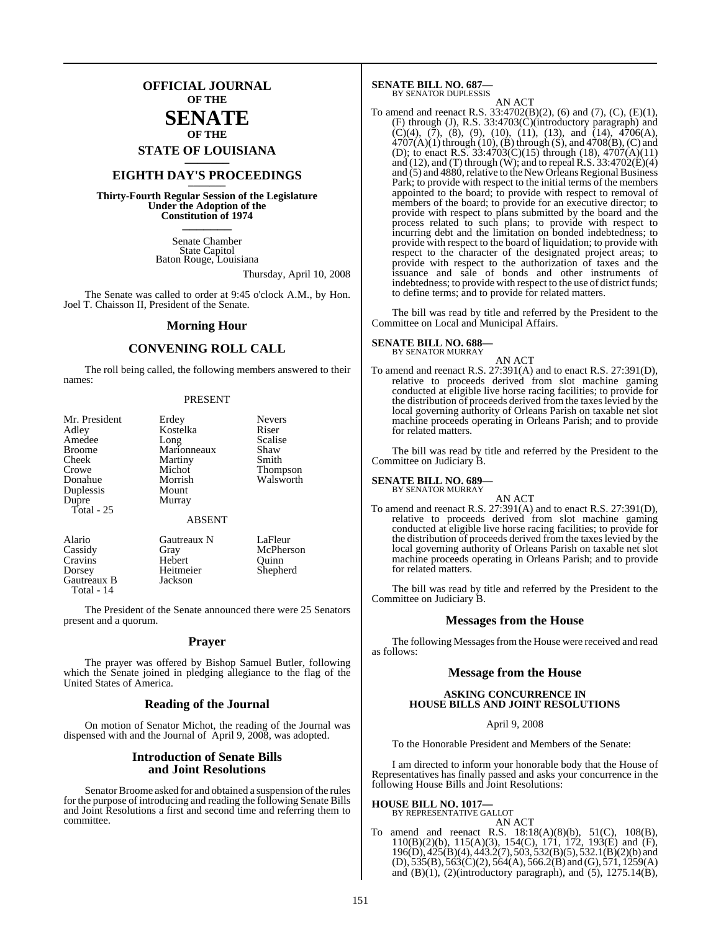**OFFICIAL JOURNAL OF THE**

### **SENATE OF THE**

**STATE OF LOUISIANA \_\_\_\_\_\_\_**

### **EIGHTH DAY'S PROCEEDINGS \_\_\_\_\_\_\_**

**Thirty-Fourth Regular Session of the Legislature Under the Adoption of the Constitution of 1974 \_\_\_\_\_\_\_**

> Senate Chamber State Capitol Baton Rouge, Louisiana

> > Thursday, April 10, 2008

The Senate was called to order at 9:45 o'clock A.M., by Hon. Joel T. Chaisson II, President of the Senate.

### **Morning Hour**

### **CONVENING ROLL CALL**

The roll being called, the following members answered to their names:

#### PRESENT

| Mr. President | Erdey                  | <b>Nevers</b> |
|---------------|------------------------|---------------|
| Adley         | Kostelka               | Riser         |
| Amedee        | Long                   | Scalise       |
| <b>Broome</b> | Marionneaux            | Shaw          |
| Cheek         | Martiny                | Smith         |
| Crowe         | Michot                 | Thompson      |
| Donahue       | Morrish                | Walsworth     |
| Duplessis     | Mount                  |               |
| Dupre         | Murray                 |               |
| Total $-25$   |                        |               |
|               | <b>ABSENT</b>          |               |
| Alario        | Gautreaux N            | LaFleur       |
| Case: 4       | $\Gamma$ <sub>an</sub> | $M_2$ Dhoman  |

| Cassidy     | Gray      | McPherson |
|-------------|-----------|-----------|
| Cravins     | Hebert    | Ouinn     |
| Dorsey      | Heitmeier | Shepherd  |
| Gautreaux B | Jackson   |           |
| Total - 14  |           |           |

The President of the Senate announced there were 25 Senators present and a quorum.

### **Prayer**

The prayer was offered by Bishop Samuel Butler, following which the Senate joined in pledging allegiance to the flag of the United States of America.

### **Reading of the Journal**

On motion of Senator Michot, the reading of the Journal was dispensed with and the Journal of April 9, 2008, was adopted.

### **Introduction of Senate Bills and Joint Resolutions**

Senator Broome asked for and obtained a suspension of the rules for the purpose of introducing and reading the following Senate Bills and Joint Resolutions a first and second time and referring them to committee.

#### **SENATE BILL NO. 687—** BY SENATOR DUPLESSIS

AN ACT

To amend and reenact R.S.  $33:4702(B)(2)$ , (6) and (7), (C), (E)(1), (F) through (J), R.S. 33:4703(C)(introductory paragraph) and  $(C)(4)$ ,  $(7)$ ,  $(8)$ ,  $(9)$ ,  $(10)$ ,  $(11)$ ,  $(13)$ , and  $(14)$ ,  $4706(A)$ ,  $4707(A)(1)$  through  $(10)$ ,  $(B)$  through  $(S)$ , and  $4708(B)$ ,  $(C)$  and (D); to enact R.S.  $33:4703(C)(15)$  through (18),  $4707(A)(11)$ and (12), and (T) through (W); and to repeal R.S.  $33:4702(E)(4)$ and  $(5)$  and 4880, relative to the New Orleans Regional Business Park; to provide with respect to the initial terms of the members appointed to the board; to provide with respect to removal of members of the board; to provide for an executive director; to provide with respect to plans submitted by the board and the process related to such plans; to provide with respect to incurring debt and the limitation on bonded indebtedness; to provide with respect to the board of liquidation; to provide with respect to the character of the designated project areas; to provide with respect to the authorization of taxes and the issuance and sale of bonds and other instruments of indebtedness; to provide with respect to the use of district funds; to define terms; and to provide for related matters.

The bill was read by title and referred by the President to the Committee on Local and Municipal Affairs.

#### **SENATE BILL NO. 688—** BY SENATOR MURRAY

AN ACT To amend and reenact R.S. 27:391(A) and to enact R.S. 27:391(D), relative to proceeds derived from slot machine gaming conducted at eligible live horse racing facilities; to provide for the distribution of proceeds derived from the taxes levied by the local governing authority of Orleans Parish on taxable net slot machine proceeds operating in Orleans Parish; and to provide for related matters.

The bill was read by title and referred by the President to the Committee on Judiciary B.

### **SENATE BILL NO. 689—**

BY SENATOR MURRAY

AN ACT To amend and reenact R.S. 27:391(A) and to enact R.S. 27:391(D), relative to proceeds derived from slot machine gaming conducted at eligible live horse racing facilities; to provide for the distribution of proceeds derived from the taxes levied by the local governing authority of Orleans Parish on taxable net slot machine proceeds operating in Orleans Parish; and to provide for related matters.

The bill was read by title and referred by the President to the Committee on Judiciary B.

### **Messages from the House**

The following Messages from the House were received and read as follows:

### **Message from the House**

### **ASKING CONCURRENCE IN HOUSE BILLS AND JOINT RESOLUTIONS**

April 9, 2008

To the Honorable President and Members of the Senate:

I am directed to inform your honorable body that the House of Representatives has finally passed and asks your concurrence in the following House Bills and Joint Resolutions:

### **HOUSE BILL NO. 1017—** BY REPRESENTATIVE GALLOT

AN ACT

To amend and reenact R.S. 18:18(A)(8)(b), 51(C), 108(B), 110(B)(2)(b), 115(A)(3), 154(C), 171, 172, 193(E) and (F), 196(D), 425(B)(4), 443.2(7), 503, 532(B)(5), 532.1(B)(2)(b) and  $(D)$ , 535(B), 563(C)(2), 564(A), 566.2(B) and (G), 571, 1259(A) and  $(B)(1)$ ,  $(2)$ (introductory paragraph), and  $(5)$ ,  $1275.14(B)$ ,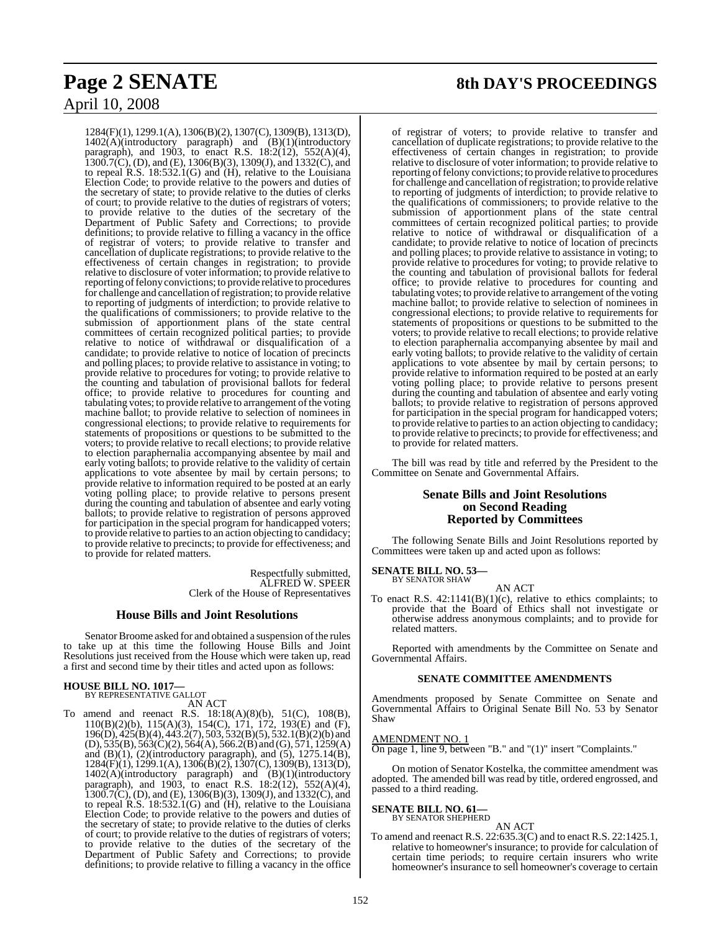## April 10, 2008

1284(F)(1), 1299.1(A), 1306(B)(2), 1307(C), 1309(B), 1313(D), 1402(A)(introductory paragraph) and (B)(1)(introductory paragraph), and 1903, to enact R.S. 18:2(12), 552(A)(4),  $1300.7(\text{C})$ , (D), and (E), 1306(B)(3), 1309(J), and 1332(C), and to repeal R.S. 18:532.1(G) and (H), relative to the Louisiana Election Code; to provide relative to the powers and duties of the secretary of state; to provide relative to the duties of clerks of court; to provide relative to the duties of registrars of voters; to provide relative to the duties of the secretary of the Department of Public Safety and Corrections; to provide definitions; to provide relative to filling a vacancy in the office of registrar of voters; to provide relative to transfer and cancellation of duplicate registrations; to provide relative to the effectiveness of certain changes in registration; to provide relative to disclosure of voter information; to provide relative to reporting of felony convictions; to provide relative to procedures for challenge and cancellation ofregistration; to provide relative to reporting of judgments of interdiction; to provide relative to the qualifications of commissioners; to provide relative to the submission of apportionment plans of the state central committees of certain recognized political parties; to provide relative to notice of withdrawal or disqualification of a candidate; to provide relative to notice of location of precincts and polling places; to provide relative to assistance in voting; to provide relative to procedures for voting; to provide relative to the counting and tabulation of provisional ballots for federal office; to provide relative to procedures for counting and tabulating votes; to provide relative to arrangement of the voting machine ballot; to provide relative to selection of nominees in congressional elections; to provide relative to requirements for statements of propositions or questions to be submitted to the voters; to provide relative to recall elections; to provide relative to election paraphernalia accompanying absentee by mail and early voting ballots; to provide relative to the validity of certain applications to vote absentee by mail by certain persons; to provide relative to information required to be posted at an early voting polling place; to provide relative to persons present during the counting and tabulation of absentee and early voting ballots; to provide relative to registration of persons approved for participation in the special program for handicapped voters; to provide relative to parties to an action objecting to candidacy; to provide relative to precincts; to provide for effectiveness; and to provide for related matters.

> Respectfully submitted, ALFRED W. SPEER Clerk of the House of Representatives

### **House Bills and Joint Resolutions**

Senator Broome asked for and obtained a suspension of the rules to take up at this time the following House Bills and Joint Resolutions just received from the House which were taken up, read a first and second time by their titles and acted upon as follows:

### **HOUSE BILL NO. 1017—** BY REPRESENTATIVE GALLOT

AN ACT

To amend and reenact R.S. 18:18(A)(8)(b), 51(C), 108(B), 110(B)(2)(b), 115(A)(3), 154(C), 171, 172, 193(E) and (F), 196(D), 425(B)(4), 443.2(7), 503, 532(B)(5), 532.1(B)(2)(b) and (D), 535(B), 563(C)(2), 564(A), 566.2(B) and (G), 571, 1259(A) and  $(B)(1)$ ,  $(2)$ (introductory paragraph), and  $(5)$ ,  $1275.14(B)$ , 1284(F)(1), 1299.1(A), 1306(B)(2), 1307(C), 1309(B), 1313(D), 1402(A)(introductory paragraph) and (B)(1)(introductory paragraph), and 1903, to enact R.S. 18:2(12), 552(A)(4),  $1300.7(\text{C})$ , (D), and (E), 1306(B)(3), 1309(J), and 1332(C), and to repeal R.S. 18:532.1(G) and (H), relative to the Louisiana Election Code; to provide relative to the powers and duties of the secretary of state; to provide relative to the duties of clerks of court; to provide relative to the duties of registrars of voters; to provide relative to the duties of the secretary of the Department of Public Safety and Corrections; to provide definitions; to provide relative to filling a vacancy in the office

### **Page 2 SENATE 8th DAY'S PROCEEDINGS**

of registrar of voters; to provide relative to transfer and cancellation of duplicate registrations; to provide relative to the effectiveness of certain changes in registration; to provide relative to disclosure of voter information; to provide relative to reporting of felony convictions; to provide relative to procedures for challenge and cancellation ofregistration; to provide relative to reporting of judgments of interdiction; to provide relative to the qualifications of commissioners; to provide relative to the submission of apportionment plans of the state central committees of certain recognized political parties; to provide relative to notice of withdrawal or disqualification of a candidate; to provide relative to notice of location of precincts and polling places; to provide relative to assistance in voting; to provide relative to procedures for voting; to provide relative to the counting and tabulation of provisional ballots for federal office; to provide relative to procedures for counting and tabulating votes; to provide relative to arrangement of the voting machine ballot; to provide relative to selection of nominees in congressional elections; to provide relative to requirements for statements of propositions or questions to be submitted to the voters; to provide relative to recall elections; to provide relative to election paraphernalia accompanying absentee by mail and early voting ballots; to provide relative to the validity of certain applications to vote absentee by mail by certain persons; to provide relative to information required to be posted at an early voting polling place; to provide relative to persons present during the counting and tabulation of absentee and early voting ballots; to provide relative to registration of persons approved for participation in the special program for handicapped voters; to provide relative to parties to an action objecting to candidacy; to provide relative to precincts; to provide for effectiveness; and to provide for related matters.

The bill was read by title and referred by the President to the Committee on Senate and Governmental Affairs.

### **Senate Bills and Joint Resolutions on Second Reading Reported by Committees**

The following Senate Bills and Joint Resolutions reported by Committees were taken up and acted upon as follows:

#### **SENATE BILL NO. 53—** BY SENATOR SHAW

AN ACT

To enact R.S.  $42:1141(B)(1)(c)$ , relative to ethics complaints; to provide that the Board of Ethics shall not investigate or otherwise address anonymous complaints; and to provide for related matters.

Reported with amendments by the Committee on Senate and Governmental Affairs.

### **SENATE COMMITTEE AMENDMENTS**

Amendments proposed by Senate Committee on Senate and Governmental Affairs to Original Senate Bill No. 53 by Senator Shaw

### AMENDMENT NO. 1

On page 1, line 9, between "B." and "(1)" insert "Complaints."

On motion of Senator Kostelka, the committee amendment was adopted. The amended bill was read by title, ordered engrossed, and passed to a third reading.

#### **SENATE BILL NO. 61—** BY SENATOR SHEPHERD

AN ACT

To amend and reenact R.S.  $22:635.3(C)$  and to enact R.S. 22:1425.1, relative to homeowner's insurance; to provide for calculation of certain time periods; to require certain insurers who write homeowner's insurance to sell homeowner's coverage to certain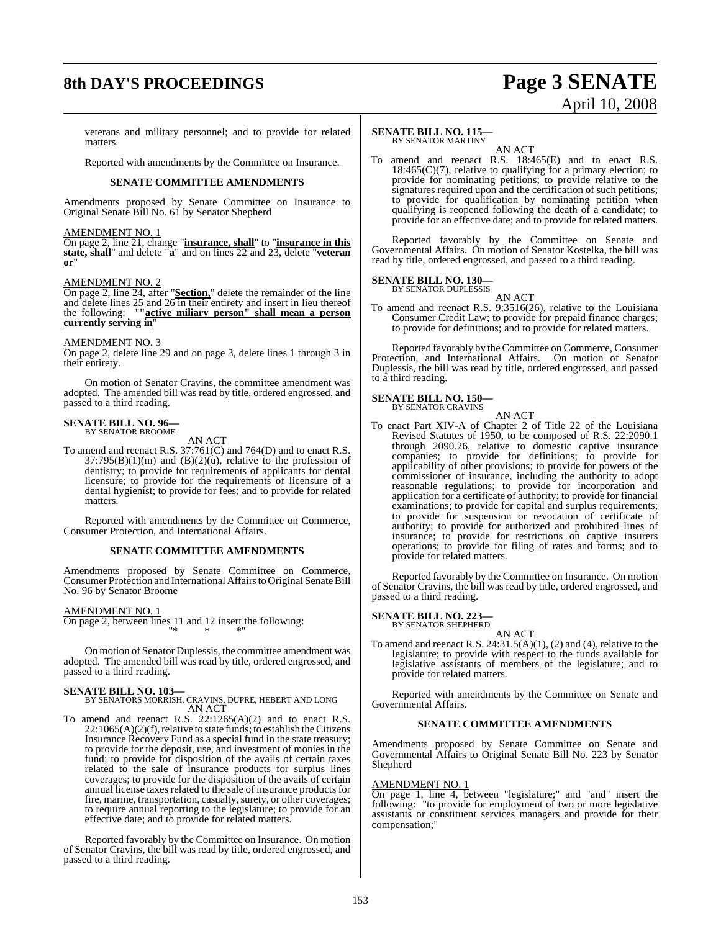### **8th DAY'S PROCEEDINGS Page 3 SENATE**

# April 10, 2008

veterans and military personnel; and to provide for related matters.

Reported with amendments by the Committee on Insurance.

### **SENATE COMMITTEE AMENDMENTS**

Amendments proposed by Senate Committee on Insurance to Original Senate Bill No. 61 by Senator Shepherd

### AMENDMENT NO. 1

On page 2, line 21, change "**insurance, shall**" to "**insurance in this state, shall**" and delete "**a**" and on lines 22 and 23, delete "**veteran or**"

### AMENDMENT NO. 2

On page 2, line 24, after "**Section,**" delete the remainder of the line and delete lines 25 and 26 in their entirety and insert in lieu thereof the following: "**"active miliary person" shall mean a person currently serving in**"

### AMENDMENT NO. 3

On page 2, delete line 29 and on page 3, delete lines 1 through 3 in their entirety.

On motion of Senator Cravins, the committee amendment was adopted. The amended bill was read by title, ordered engrossed, and passed to a third reading.

### **SENATE BILL NO. 96—** BY SENATOR BROOME

AN ACT

To amend and reenact R.S. 37:761(C) and 764(D) and to enact R.S.  $37:795(B)(1)(m)$  and  $(B)(2)(u)$ , relative to the profession of dentistry; to provide for requirements of applicants for dental licensure; to provide for the requirements of licensure of a dental hygienist; to provide for fees; and to provide for related matters.

Reported with amendments by the Committee on Commerce, Consumer Protection, and International Affairs.

### **SENATE COMMITTEE AMENDMENTS**

Amendments proposed by Senate Committee on Commerce, Consumer Protection and International Affairs to Original Senate Bill No. 96 by Senator Broome

AMENDMENT NO. 1

On page 2, between lines 11 and 12 insert the following: "\* \* \*"

On motion of Senator Duplessis, the committee amendment was adopted. The amended bill was read by title, ordered engrossed, and passed to a third reading.

### **SENATE BILL NO. 103—**

### BY SENATORS MORRISH, CRAVINS, DUPRE, HEBERT AND LONG AN ACT

To amend and reenact R.S. 22:1265(A)(2) and to enact R.S.  $22:1065(A)(2)(f)$ , relative to state funds; to establish the Citizens Insurance Recovery Fund as a special fund in the state treasury; to provide for the deposit, use, and investment of monies in the fund; to provide for disposition of the avails of certain taxes related to the sale of insurance products for surplus lines coverages; to provide for the disposition of the avails of certain annual license taxes related to the sale of insurance products for fire, marine, transportation, casualty, surety, or other coverages; to require annual reporting to the legislature; to provide for an effective date; and to provide for related matters.

Reported favorably by the Committee on Insurance. On motion of Senator Cravins, the bill was read by title, ordered engrossed, and passed to a third reading.

#### **SENATE BILL NO. 115—** BY SENATOR MARTINY

AN ACT

To amend and reenact R.S. 18:465(E) and to enact R.S.  $18:465(C)(7)$ , relative to qualifying for a primary election; to provide for nominating petitions; to provide relative to the signatures required upon and the certification of such petitions; to provide for qualification by nominating petition when qualifying is reopened following the death of a candidate; to provide for an effective date; and to provide for related matters.

Reported favorably by the Committee on Senate and Governmental Affairs. On motion of Senator Kostelka, the bill was read by title, ordered engrossed, and passed to a third reading.

### **SENATE BILL NO. 130—**

BY SENATOR DUPLESSIS AN ACT

To amend and reenact R.S. 9:3516(26), relative to the Louisiana Consumer Credit Law; to provide for prepaid finance charges; to provide for definitions; and to provide for related matters.

Reported favorably by the Committee on Commerce, Consumer Protection, and International Affairs. On motion of Senator Duplessis, the bill was read by title, ordered engrossed, and passed to a third reading.

### **SENATE BILL NO. 150—** BY SENATOR CRAVINS

AN ACT To enact Part XIV-A of Chapter 2 of Title 22 of the Louisiana Revised Statutes of 1950, to be composed of R.S. 22:2090.1 through 2090.26, relative to domestic captive insurance companies; to provide for definitions; to provide for applicability of other provisions; to provide for powers of the commissioner of insurance, including the authority to adopt reasonable regulations; to provide for incorporation and application for a certificate of authority; to provide for financial examinations; to provide for capital and surplus requirements; to provide for suspension or revocation of certificate of authority; to provide for authorized and prohibited lines of insurance; to provide for restrictions on captive insurers operations; to provide for filing of rates and forms; and to provide for related matters.

Reported favorably by the Committee on Insurance. On motion of Senator Cravins, the bill was read by title, ordered engrossed, and passed to a third reading.

#### **SENATE BILL NO. 223—** BY SENATOR SHEPHERD

AN ACT

To amend and reenact R.S.  $24:31.5(A)(1)$ ,  $(2)$  and  $(4)$ , relative to the legislature; to provide with respect to the funds available for legislative assistants of members of the legislature; and to provide for related matters.

Reported with amendments by the Committee on Senate and Governmental Affairs.

### **SENATE COMMITTEE AMENDMENTS**

Amendments proposed by Senate Committee on Senate and Governmental Affairs to Original Senate Bill No. 223 by Senator Shepherd

### AMENDMENT NO. 1

On page 1, line 4, between "legislature;" and "and" insert the following: "to provide for employment of two or more legislative assistants or constituent services managers and provide for their compensation;"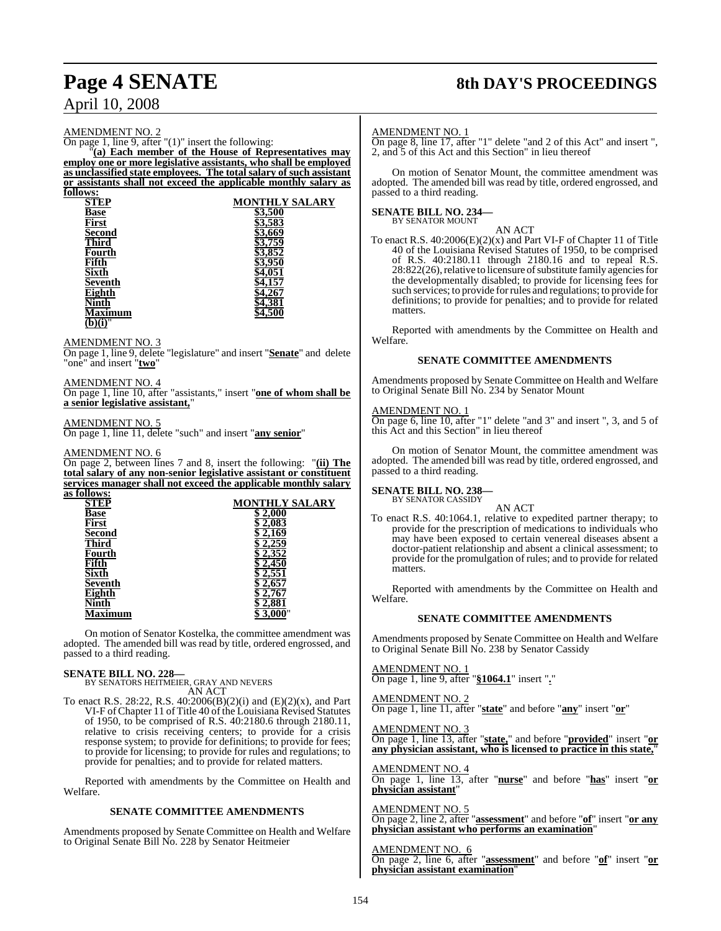### April 10, 2008

### AMENDMENT NO. 2

On page 1, line 9, after "(1)" insert the following:

"**(a) Each member of the House of Representatives may employ one or more legislative assistants, who shall be employed as unclassified state employees. The total salary of such assistant or assistants shall not exceed the applicable monthly salary as follows:**

| uwo.                             |                       |
|----------------------------------|-----------------------|
| <b>STEP</b>                      | <b>MONTHLY SALARY</b> |
| Base                             | \$3,500               |
| First                            | \$3,583               |
| <b>Second</b>                    | 3,669                 |
| <b>Third</b>                     | \$3,759               |
| Fourth                           | 3,852                 |
| Fifth                            | \$3,950               |
| Sixth                            | I.051                 |
| Seventh                          | .157                  |
| Eighth                           |                       |
| √inth                            | 1,381                 |
| <b>Iaximum</b>                   | 1,500                 |
| $\overline{(b)}\overline{(i)}$ " |                       |
|                                  |                       |

AMENDMENT NO. 3

On page 1, line 9, delete "legislature" and insert "**Senate**" and delete "one" and insert "**two**"

### AMENDMENT NO. 4

On page 1, line 10, after "assistants," insert "**one of whom shall be a senior legislative assistant,**"

### AMENDMENT NO. 5

On page 1, line 11, delete "such" and insert "**any senior**"

### AMENDMENT NO. 6

On page 2, between lines 7 and 8, insert the following: "**(ii) The total salary of any non-senior legislative assistant or constituent services manager shall not exceed the applicable monthly salary as follows:**

| <b>ULLU 11 9.</b> |                       |
|-------------------|-----------------------|
| STEP              | <b>MONTHLY SALARY</b> |
| Base              | 2,000                 |
| First             | 2,083                 |
| <b>Second</b>     | 169                   |
| Third             |                       |
| Fourth            |                       |
| Fifth             | 450                   |
| Sixth             |                       |
| <b>Seventh</b>    | 2.657                 |
| <b>Eighth</b>     |                       |
| Jinth             | 2,881                 |
| mum               |                       |
|                   |                       |

On motion of Senator Kostelka, the committee amendment was adopted. The amended bill was read by title, ordered engrossed, and passed to a third reading.

### **SENATE BILL NO. 228—**

BY SENATORS HEITMEIER, GRAY AND NEVERS AN ACT

To enact R.S. 28:22, R.S. 40:2006(B)(2)(i) and (E)(2)(x), and Part VI-F ofChapter 11 of Title 40 of the Louisiana Revised Statutes of 1950, to be comprised of R.S. 40:2180.6 through 2180.11, relative to crisis receiving centers; to provide for a crisis response system; to provide for definitions; to provide for fees; to provide for licensing; to provide for rules and regulations; to provide for penalties; and to provide for related matters.

Reported with amendments by the Committee on Health and Welfare.

### **SENATE COMMITTEE AMENDMENTS**

Amendments proposed by Senate Committee on Health and Welfare to Original Senate Bill No. 228 by Senator Heitmeier

### **Page 4 SENATE 8th DAY'S PROCEEDINGS**

### AMENDMENT NO. 1

On page 8, line 17, after "1" delete "and 2 of this Act" and insert ", 2, and 5 of this Act and this Section" in lieu thereof

On motion of Senator Mount, the committee amendment was adopted. The amended bill was read by title, ordered engrossed, and passed to a third reading.

### **SENATE BILL NO. 234—** BY SENATOR MOUNT

AN ACT

To enact R.S. 40:2006(E)(2)(x) and Part VI-F of Chapter 11 of Title 40 of the Louisiana Revised Statutes of 1950, to be comprised of R.S. 40:2180.11 through 2180.16 and to repeal R.S. 28:822(26), relative to licensure of substitute family agencies for the developmentally disabled; to provide for licensing fees for such services; to provide forrules and regulations; to provide for definitions; to provide for penalties; and to provide for related matters.

Reported with amendments by the Committee on Health and Welfare.

### **SENATE COMMITTEE AMENDMENTS**

Amendments proposed by Senate Committee on Health and Welfare to Original Senate Bill No. 234 by Senator Mount

### AMENDMENT NO. 1

On page 6, line 10, after "1" delete "and 3" and insert ", 3, and 5 of this Act and this Section" in lieu thereof

On motion of Senator Mount, the committee amendment was adopted. The amended bill was read by title, ordered engrossed, and passed to a third reading.

#### **SENATE BILL NO. 238—** BY SENATOR CASSIDY

AN ACT

To enact R.S. 40:1064.1, relative to expedited partner therapy; to provide for the prescription of medications to individuals who may have been exposed to certain venereal diseases absent a doctor-patient relationship and absent a clinical assessment; to provide for the promulgation of rules; and to provide for related **matters** 

Reported with amendments by the Committee on Health and Welfare.

### **SENATE COMMITTEE AMENDMENTS**

Amendments proposed by Senate Committee on Health and Welfare to Original Senate Bill No. 238 by Senator Cassidy

### AMENDMENT NO. 1

On page 1, line 9, after "**§1064.1**" insert "**.**"

### AMENDMENT NO. 2

On page 1, line 11, after "**state**" and before "**any**" insert "**or**"

AMENDMENT NO. 3 On page 1, line 13, after "**state,**" and before "**provided**" insert "**or any physician assistant, who is licensed to practice in this state,**"

### AMENDMENT NO. 4

On page 1, line 13, after "**nurse**" and before "**has**" insert "**or physician assistant**"

### AMENDMENT NO. 5

On page 2, line 2, after "**assessment**" and before "**of**" insert "**or any physician assistant who performs an examination**"

AMENDMENT NO. 6 On page 2, line 6, after "**assessment**" and before "**of**" insert "**or physician assistant examination**"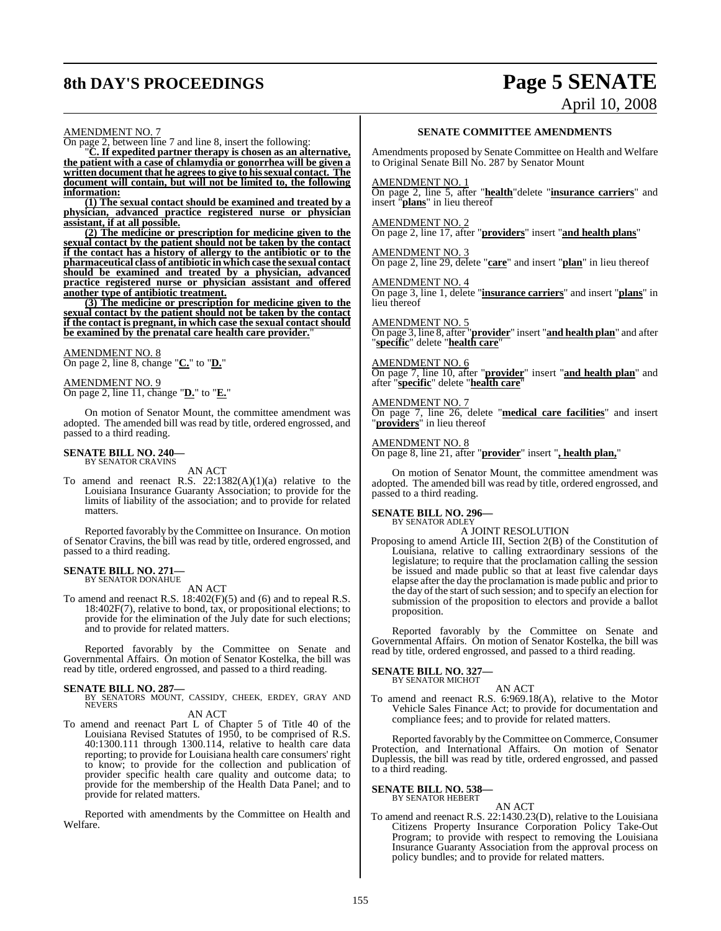### **8th DAY'S PROCEEDINGS Page 5 SENATE**

# April 10, 2008

#### AMENDMENT NO. 7

On page 2, between line 7 and line 8, insert the following:

"**C. If expedited partner therapy is chosen as an alternative, the patient with a case of chlamydia or gonorrhea will be given a written document that** he agrees to give to his sexual contact. The **document will contain, but will not be limited to, the following information:**

**(1) The sexual contact should be examined and treated by a physician, advanced practice registered nurse or physician assistant, if at all possible.**

**(2) The medicine or prescription for medicine given to the sexual contact by the patient should not be taken by the contact if the contact has a history of allergy to the antibiotic or to the pharmaceutical class of antibiotic in which case the sexual contact should be examined and treated by a physician, advanced practice registered nurse or physician assistant and offered another type of antibiotic treatment.**

**(3) The medicine or prescription for medicine given to the sexual contact by the patient should not be taken by the contact if the contact is pregnant, in which case the sexual contact should be examined by the prenatal care health care provider.**"

AMENDMENT NO. 8 On page 2, line 8, change "**C.**" to "**D.**"

AMENDMENT NO. 9 On page 2, line 11, change "**D.**" to "**E.**"

On motion of Senator Mount, the committee amendment was adopted. The amended bill was read by title, ordered engrossed, and passed to a third reading.

#### **SENATE BILL NO. 240—** BY SENATOR CRAVINS

AN ACT

To amend and reenact R.S.  $22:1382(A)(1)(a)$  relative to the Louisiana Insurance Guaranty Association; to provide for the limits of liability of the association; and to provide for related matters.

Reported favorably by the Committee on Insurance. On motion of Senator Cravins, the bill was read by title, ordered engrossed, and passed to a third reading.

#### **SENATE BILL NO. 271** BY SENATOR DONAHUE

AN ACT

To amend and reenact R.S. 18:402(F)(5) and (6) and to repeal R.S. 18:402F(7), relative to bond, tax, or propositional elections; to provide for the elimination of the July date for such elections; and to provide for related matters.

Reported favorably by the Committee on Senate and Governmental Affairs. On motion of Senator Kostelka, the bill was read by title, ordered engrossed, and passed to a third reading.

**SENATE BILL NO. 287—**<br>BY SENATORS MOUNT, CASSIDY, CHEEK, ERDEY, GRAY AND<br>NEVERS AN ACT

- 
- To amend and reenact Part L of Chapter 5 of Title 40 of the Louisiana Revised Statutes of 1950, to be comprised of R.S. 40:1300.111 through 1300.114, relative to health care data reporting; to provide for Louisiana health care consumers' right to know; to provide for the collection and publication of provider specific health care quality and outcome data; to provide for the membership of the Health Data Panel; and to provide for related matters.

Reported with amendments by the Committee on Health and Welfare.

### **SENATE COMMITTEE AMENDMENTS**

Amendments proposed by Senate Committee on Health and Welfare to Original Senate Bill No. 287 by Senator Mount

#### AMENDMENT NO. 1

On page 2, line 5, after "**health**"delete "**insurance carriers**" and insert "**plans**" in lieu thereof

#### AMENDMENT NO. 2

On page 2, line 17, after "**providers**" insert "**and health plans**"

AMENDMENT NO. 3 On page 2, line 29, delete "**care**" and insert "**plan**" in lieu thereof

AMENDMENT NO. 4

On page 3, line 1, delete "**insurance carriers**" and insert "**plans**" in lieu thereof

AMENDMENT NO. 5 On page 3, line 8, after "**provider**" insert "**and health plan**" and after "**specific**" delete "**health care**"

AMENDMENT NO. 6 On page 7, line 10, after "**provider**" insert "**and health plan**" and after "**specific**" delete "**health care**"

AMENDMENT NO. 7 On page 7, line 26, delete "**medical care facilities**" and insert "**providers**" in lieu thereof

AMENDMENT NO. 8 On page 8, line 21, after "**provider**" insert "**, health plan,**"

On motion of Senator Mount, the committee amendment was adopted. The amended bill was read by title, ordered engrossed, and passed to a third reading.

### **SENATE BILL NO. 296—** BY SENATOR ADLEY

A JOINT RESOLUTION

Proposing to amend Article III, Section 2(B) of the Constitution of Louisiana, relative to calling extraordinary sessions of the legislature; to require that the proclamation calling the session be issued and made public so that at least five calendar days elapse after the day the proclamation is made public and prior to the day of the start of such session; and to specify an election for submission of the proposition to electors and provide a ballot proposition.

Reported favorably by the Committee on Senate and Governmental Affairs. On motion of Senator Kostelka, the bill was read by title, ordered engrossed, and passed to a third reading.

### **SENATE BILL NO. 327—** BY SENATOR MICHOT

AN ACT To amend and reenact R.S. 6:969.18(A), relative to the Motor Vehicle Sales Finance Act; to provide for documentation and compliance fees; and to provide for related matters.

Reported favorably by the Committee on Commerce, Consumer Protection, and International Affairs. On motion of Senator Duplessis, the bill was read by title, ordered engrossed, and passed to a third reading.

### **SENATE BILL NO. 538—** BY SENATOR HEBERT

AN ACT

To amend and reenact R.S. 22:1430.23(D), relative to the Louisiana Citizens Property Insurance Corporation Policy Take-Out Program; to provide with respect to removing the Louisiana Insurance Guaranty Association from the approval process on policy bundles; and to provide for related matters.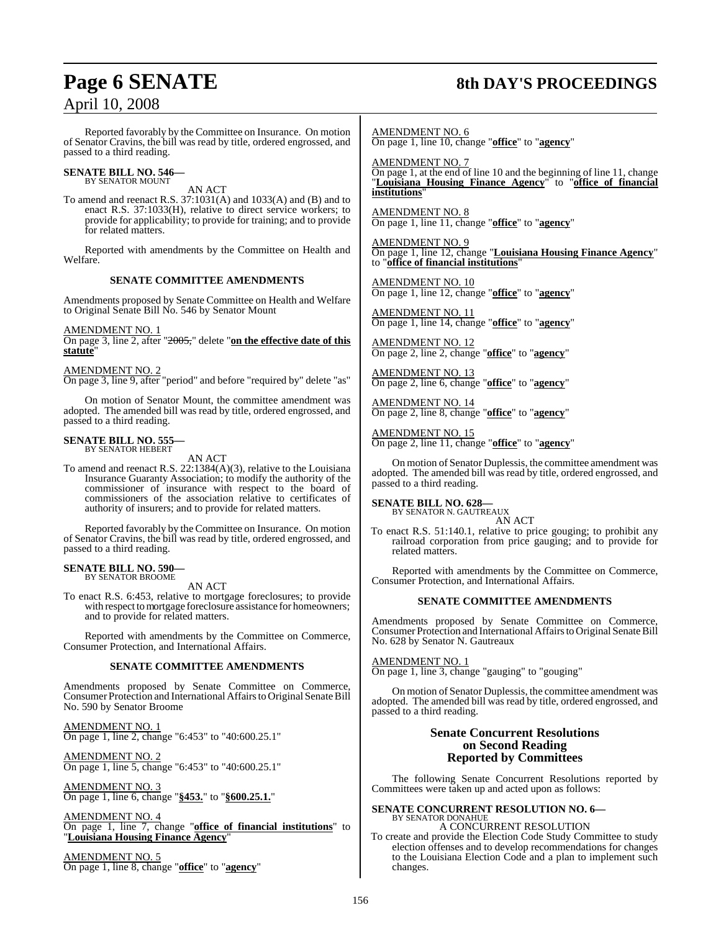# April 10, 2008

### **Page 6 SENATE 8th DAY'S PROCEEDINGS**

Reported favorably by the Committee on Insurance. On motion of Senator Cravins, the bill was read by title, ordered engrossed, and passed to a third reading.

### **SENATE BILL NO. 546—** BY SENATOR MOUNT

AN ACT

To amend and reenact R.S. 37:1031(A) and 1033(A) and (B) and to enact R.S. 37:1033(H), relative to direct service workers; to provide for applicability; to provide for training; and to provide for related matters.

Reported with amendments by the Committee on Health and Welfare.

### **SENATE COMMITTEE AMENDMENTS**

Amendments proposed by Senate Committee on Health and Welfare to Original Senate Bill No. 546 by Senator Mount

AMENDMENT NO. 1

On page 3, line 2, after "2005," delete "**on the effective date of this statute**"

### AMENDMENT NO. 2

On page 3, line 9, after "period" and before "required by" delete "as"

On motion of Senator Mount, the committee amendment was adopted. The amended bill was read by title, ordered engrossed, and passed to a third reading.

### **SENATE BILL NO. 555—** BY SENATOR HEBERT

AN ACT

To amend and reenact R.S. 22:1384(A)(3), relative to the Louisiana Insurance Guaranty Association; to modify the authority of the commissioner of insurance with respect to the board of commissioners of the association relative to certificates of authority of insurers; and to provide for related matters.

Reported favorably by the Committee on Insurance. On motion of Senator Cravins, the bill was read by title, ordered engrossed, and passed to a third reading.

#### **SENATE BILL NO. 590—** BY SENATOR BROOME

AN ACT

To enact R.S. 6:453, relative to mortgage foreclosures; to provide with respect to mortgage foreclosure assistance for homeowners; and to provide for related matters.

Reported with amendments by the Committee on Commerce, Consumer Protection, and International Affairs.

### **SENATE COMMITTEE AMENDMENTS**

Amendments proposed by Senate Committee on Commerce, Consumer Protection and International Affairs to Original Senate Bill No. 590 by Senator Broome

AMENDMENT NO. 1 On page 1, line 2, change "6:453" to "40:600.25.1"

AMENDMENT NO. 2 On page 1, line 5, change "6:453" to "40:600.25.1"

AMENDMENT NO. 3 On page 1, line 6, change "**§453.**" to "**§600.25.1.**"

AMENDMENT NO. 4 On page 1, line 7, change "**office of financial institutions**" to "**Louisiana Housing Finance Agency**"

AMENDMENT NO. 5 On page 1, line 8, change "**office**" to "**agency**"

AMENDMENT NO. 6 On page 1, line 10, change "**office**" to "**agency**"

AMENDMENT NO. 7 On page 1, at the end of line 10 and the beginning of line 11, change "**Louisiana Housing Finance Agency**" to "**office of financial institutions**"

AMENDMENT NO. 8 On page 1, line 11, change "**office**" to "**agency**"

AMENDMENT NO. 9 On page 1, line 12, change "**Louisiana Housing Finance Agency**" to "**office of financial institutions**"

AMENDMENT NO. 10 On page 1, line 12, change "**office**" to "**agency**"

AMENDMENT NO. 11 On page 1, line 14, change "**office**" to "**agency**"

AMENDMENT NO. 12 On page 2, line 2, change "**office**" to "**agency**"

AMENDMENT NO. 13 On page 2, line 6, change "**office**" to "**agency**"

AMENDMENT NO. 14 On page 2, line 8, change "**office**" to "**agency**"

AMENDMENT NO. 15 On page 2, line 11, change "**office**" to "**agency**"

On motion of Senator Duplessis, the committee amendment was adopted. The amended bill was read by title, ordered engrossed, and passed to a third reading.

### **SENATE BILL NO. 628—**

BY SENATOR N. GAUTREAUX AN ACT

To enact R.S. 51:140.1, relative to price gouging; to prohibit any railroad corporation from price gauging; and to provide for related matters.

Reported with amendments by the Committee on Commerce, Consumer Protection, and International Affairs.

### **SENATE COMMITTEE AMENDMENTS**

Amendments proposed by Senate Committee on Commerce, Consumer Protection and International Affairs to Original Senate Bill No. 628 by Senator N. Gautreaux

AMENDMENT NO. 1

On page 1, line 3, change "gauging" to "gouging"

On motion of Senator Duplessis, the committee amendment was adopted. The amended bill was read by title, ordered engrossed, and passed to a third reading.

### **Senate Concurrent Resolutions on Second Reading Reported by Committees**

The following Senate Concurrent Resolutions reported by Committees were taken up and acted upon as follows:

**SENATE CONCURRENT RESOLUTION NO. 6—**<br>BY SENATOR DONAHUE A CONCURRENT RESOLUTION

To create and provide the Election Code Study Committee to study election offenses and to develop recommendations for changes to the Louisiana Election Code and a plan to implement such changes.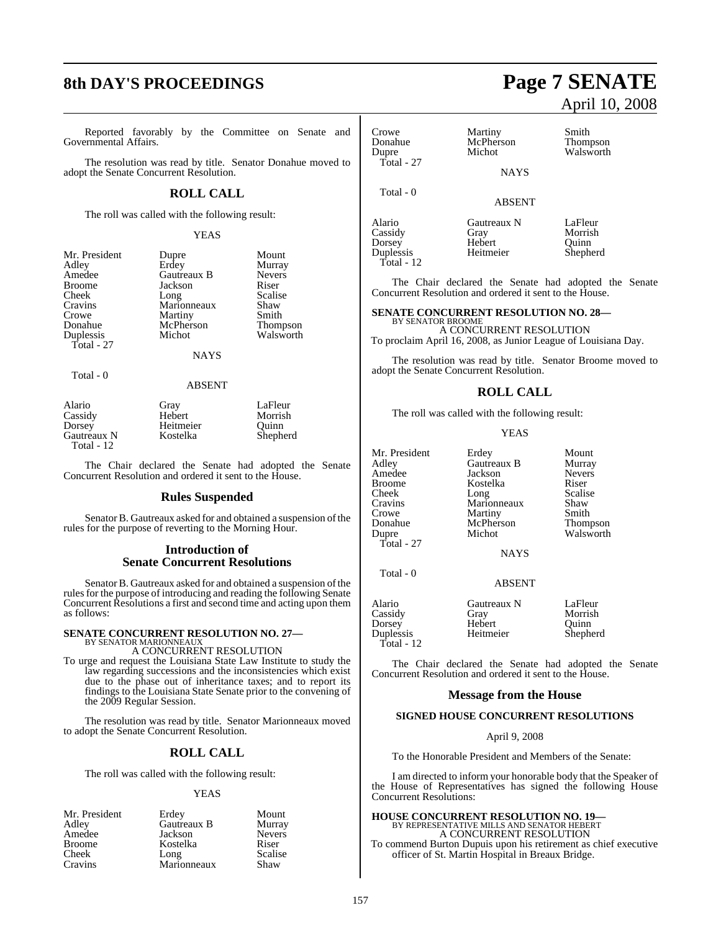### **8th DAY'S PROCEEDINGS Page 7 SENATE**

Reported favorably by the Committee on Senate and Governmental Affairs.

The resolution was read by title. Senator Donahue moved to adopt the Senate Concurrent Resolution.

### **ROLL CALL**

The roll was called with the following result:

#### YEAS

| Dupre       | Mount         |
|-------------|---------------|
| Erdey       | Murray        |
| Gautreaux B | <b>Nevers</b> |
| Jackson     | Riser         |
| Long        | Scalise       |
| Marionneaux | Shaw          |
| Martiny     | Smith         |
| McPherson   | Thomps        |
| Michot      | Walswo        |
|             |               |
|             |               |

Total - 0

Gautreaux B Nevers<br>
Jackson Riser France Jackson<br>
Broome Scalise<br>
Long Scalise Example 1<br>
Long Scalis<br>
Marionneaux Shaw Marionneaux Shaw<br>
Martiny Smith Martiny Smith<br>
McPherson Thompson McPherson<br>Michot

NAYS

Walsworth

#### ABSENT

| Alario      | Gray      | LaFleur  |
|-------------|-----------|----------|
| Cassidy     | Hebert    | Morrish  |
| Dorsey      | Heitmeier | Ouinn    |
| Gautreaux N | Kostelka  | Shepherd |
| Total - 12  |           |          |

The Chair declared the Senate had adopted the Senate Concurrent Resolution and ordered it sent to the House.

### **Rules Suspended**

Senator B. Gautreaux asked for and obtained a suspension of the rules for the purpose of reverting to the Morning Hour.

### **Introduction of Senate Concurrent Resolutions**

Senator B. Gautreaux asked for and obtained a suspension of the rules for the purpose of introducing and reading the following Senate Concurrent Resolutions a first and second time and acting upon them as follows:

### **SENATE CONCURRENT RESOLUTION NO. 27—** BY SENATOR MARIONNEAUX

A CONCURRENT RESOLUTION

To urge and request the Louisiana State Law Institute to study the law regarding successions and the inconsistencies which exist due to the phase out of inheritance taxes; and to report its findings to the Louisiana State Senate prior to the convening of the 2009 Regular Session.

The resolution was read by title. Senator Marionneaux moved to adopt the Senate Concurrent Resolution.

### **ROLL CALL**

The roll was called with the following result:

### YEAS

| Mr. President | Erdey       | Mount         |
|---------------|-------------|---------------|
| Adley         | Gautreaux B | Murray        |
| Amedee        | Jackson     | <b>Nevers</b> |
| <b>Broome</b> | Kostelka    | Riser         |
| Cheek         | Long        | Scalise       |
| Cravins       | Marionneaux | Shaw          |

## April 10, 2008

| Crowe      | Martiny       | Smith     |
|------------|---------------|-----------|
| Donahue    | McPherson     | Thompson  |
| Dupre      | Michot        | Walsworth |
| Total - 27 | <b>NAYS</b>   |           |
| Total - 0  | <b>ABSENT</b> |           |
| Alario     | Gautreaux N   | LaFleur   |
| Cassidy    | Gray          | Morrish   |

Cassidy Gray Morris<br>
Dorsey Hebert Quinn Dorsey Hebert Quinn Duplessis Heitmeier Total - 12

The Chair declared the Senate had adopted the Senate Concurrent Resolution and ordered it sent to the House.

### **SENATE CONCURRENT RESOLUTION NO. 28—**

BY SENATOR BROOME A CONCURRENT RESOLUTION

To proclaim April 16, 2008, as Junior League of Louisiana Day.

The resolution was read by title. Senator Broome moved to adopt the Senate Concurrent Resolution.

### **ROLL CALL**

The roll was called with the following result:

#### YEAS

Adley Gautreaux B<br>Adley Gautreaux B Murray<br>Amedee Jackson Nevers Amedee Jackson Never<br>Broome Kostelka Riser Broome Kostelka Riser<br>Cheek Long Scalise Cheek Long Scalise Cravins Marionneaux Shaw Crowe Martiny Smith<br>
Donahue McPherson Thompson Donahue McPherson<br>Dupre Michot Total - 27

Total - 0

Mr. President Erdey Mount<br>Adley Gautreaux B Murray Walsworth

**NAYS** 

#### ABSENT

| Alario       | Gautreaux N | LaFleur  |
|--------------|-------------|----------|
| Cassidy      | Gray        | Morrish  |
| Dorsey       | Hebert      | Ouinn    |
| Duplessis    | Heitmeier   | Shepherd |
| Total - $12$ |             |          |

The Chair declared the Senate had adopted the Senate Concurrent Resolution and ordered it sent to the House.

### **Message from the House**

#### **SIGNED HOUSE CONCURRENT RESOLUTIONS**

### April 9, 2008

To the Honorable President and Members of the Senate:

I am directed to inform your honorable body that the Speaker of the House of Representatives has signed the following House Concurrent Resolutions:

## **HOUSE CONCURRENT RESOLUTION NO. 19—**<br>BY REPRESENTATIVE MILLS AND SENATOR HEBERT<br>A CONCURRENT RESOLUTION

To commend Burton Dupuis upon his retirement as chief executive officer of St. Martin Hospital in Breaux Bridge.